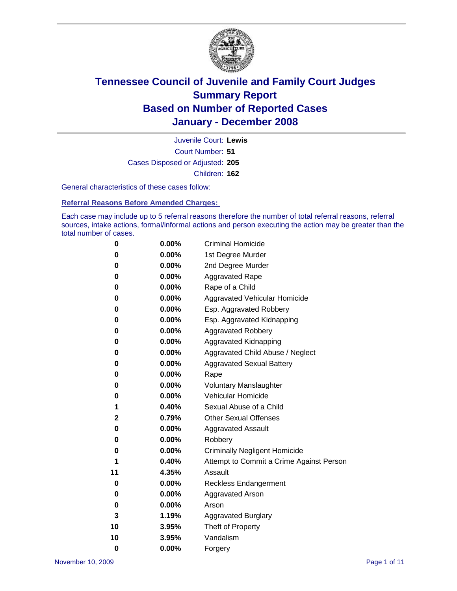

Court Number: **51** Juvenile Court: **Lewis** Cases Disposed or Adjusted: **205** Children: **162**

General characteristics of these cases follow:

**Referral Reasons Before Amended Charges:** 

Each case may include up to 5 referral reasons therefore the number of total referral reasons, referral sources, intake actions, formal/informal actions and person executing the action may be greater than the total number of cases.

| 0        | 0.00%    | <b>Criminal Homicide</b>                 |
|----------|----------|------------------------------------------|
| 0        | 0.00%    | 1st Degree Murder                        |
| 0        | $0.00\%$ | 2nd Degree Murder                        |
| 0        | 0.00%    | <b>Aggravated Rape</b>                   |
| 0        | 0.00%    | Rape of a Child                          |
| 0        | 0.00%    | Aggravated Vehicular Homicide            |
| 0        | 0.00%    | Esp. Aggravated Robbery                  |
| 0        | 0.00%    | Esp. Aggravated Kidnapping               |
| 0        | 0.00%    | <b>Aggravated Robbery</b>                |
| 0        | $0.00\%$ | Aggravated Kidnapping                    |
| 0        | 0.00%    | Aggravated Child Abuse / Neglect         |
| 0        | $0.00\%$ | <b>Aggravated Sexual Battery</b>         |
| 0        | 0.00%    | Rape                                     |
| 0        | 0.00%    | <b>Voluntary Manslaughter</b>            |
| 0        | 0.00%    | Vehicular Homicide                       |
| 1        | 0.40%    | Sexual Abuse of a Child                  |
| 2        | 0.79%    | <b>Other Sexual Offenses</b>             |
| 0        | 0.00%    | <b>Aggravated Assault</b>                |
| 0        | $0.00\%$ | Robbery                                  |
| 0        | 0.00%    | <b>Criminally Negligent Homicide</b>     |
| 1        | 0.40%    | Attempt to Commit a Crime Against Person |
| 11       | 4.35%    | Assault                                  |
| 0        | 0.00%    | <b>Reckless Endangerment</b>             |
| 0        | 0.00%    | Aggravated Arson                         |
| 0        | $0.00\%$ | Arson                                    |
| 3        | 1.19%    | <b>Aggravated Burglary</b>               |
| 10       | 3.95%    | Theft of Property                        |
| 10       | 3.95%    | Vandalism                                |
| $\bf{0}$ | 0.00%    | Forgery                                  |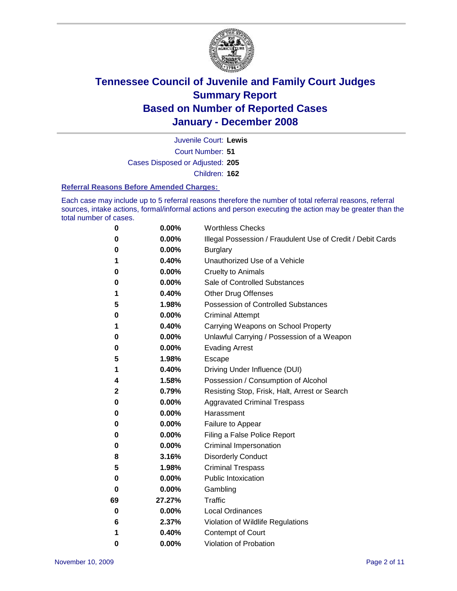

Court Number: **51** Juvenile Court: **Lewis** Cases Disposed or Adjusted: **205** Children: **162**

#### **Referral Reasons Before Amended Charges:**

Each case may include up to 5 referral reasons therefore the number of total referral reasons, referral sources, intake actions, formal/informal actions and person executing the action may be greater than the total number of cases.

| 0  | 0.00%    | <b>Worthless Checks</b>                                     |
|----|----------|-------------------------------------------------------------|
| 0  | 0.00%    | Illegal Possession / Fraudulent Use of Credit / Debit Cards |
| 0  | 0.00%    | <b>Burglary</b>                                             |
| 1  | 0.40%    | Unauthorized Use of a Vehicle                               |
| 0  | 0.00%    | <b>Cruelty to Animals</b>                                   |
| 0  | $0.00\%$ | Sale of Controlled Substances                               |
| 1  | 0.40%    | <b>Other Drug Offenses</b>                                  |
| 5  | 1.98%    | Possession of Controlled Substances                         |
| 0  | 0.00%    | <b>Criminal Attempt</b>                                     |
| 1  | 0.40%    | Carrying Weapons on School Property                         |
| 0  | 0.00%    | Unlawful Carrying / Possession of a Weapon                  |
| 0  | 0.00%    | <b>Evading Arrest</b>                                       |
| 5  | 1.98%    | Escape                                                      |
| 1  | 0.40%    | Driving Under Influence (DUI)                               |
| 4  | 1.58%    | Possession / Consumption of Alcohol                         |
| 2  | 0.79%    | Resisting Stop, Frisk, Halt, Arrest or Search               |
| 0  | $0.00\%$ | <b>Aggravated Criminal Trespass</b>                         |
| 0  | 0.00%    | Harassment                                                  |
| 0  | 0.00%    | Failure to Appear                                           |
| 0  | 0.00%    | Filing a False Police Report                                |
| 0  | 0.00%    | Criminal Impersonation                                      |
| 8  | 3.16%    | <b>Disorderly Conduct</b>                                   |
| 5  | 1.98%    | <b>Criminal Trespass</b>                                    |
| 0  | 0.00%    | <b>Public Intoxication</b>                                  |
| 0  | 0.00%    | Gambling                                                    |
| 69 | 27.27%   | <b>Traffic</b>                                              |
| 0  | 0.00%    | <b>Local Ordinances</b>                                     |
| 6  | 2.37%    | Violation of Wildlife Regulations                           |
| 1  | 0.40%    | Contempt of Court                                           |
| 0  | 0.00%    | Violation of Probation                                      |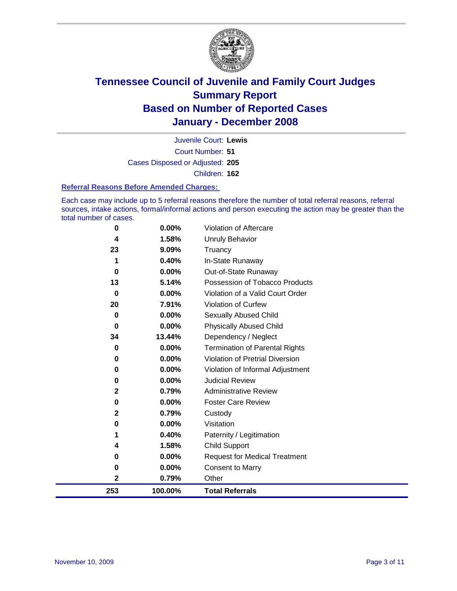

Court Number: **51** Juvenile Court: **Lewis** Cases Disposed or Adjusted: **205** Children: **162**

#### **Referral Reasons Before Amended Charges:**

Each case may include up to 5 referral reasons therefore the number of total referral reasons, referral sources, intake actions, formal/informal actions and person executing the action may be greater than the total number of cases.

| 253         | 100.00% | <b>Total Referrals</b>                 |
|-------------|---------|----------------------------------------|
| $\mathbf 2$ | 0.79%   | Other                                  |
| 0           | 0.00%   | <b>Consent to Marry</b>                |
| 0           | 0.00%   | <b>Request for Medical Treatment</b>   |
| 4           | 1.58%   | <b>Child Support</b>                   |
| 1           | 0.40%   | Paternity / Legitimation               |
| 0           | 0.00%   | Visitation                             |
| $\mathbf 2$ | 0.79%   | Custody                                |
| 0           | 0.00%   | <b>Foster Care Review</b>              |
| $\mathbf 2$ | 0.79%   | <b>Administrative Review</b>           |
| 0           | 0.00%   | <b>Judicial Review</b>                 |
| 0           | 0.00%   | Violation of Informal Adjustment       |
| 0           | 0.00%   | <b>Violation of Pretrial Diversion</b> |
| 0           | 0.00%   | <b>Termination of Parental Rights</b>  |
| 34          | 13.44%  | Dependency / Neglect                   |
| $\bf{0}$    | 0.00%   | <b>Physically Abused Child</b>         |
| 0           | 0.00%   | <b>Sexually Abused Child</b>           |
| 20          | 7.91%   | <b>Violation of Curfew</b>             |
| $\bf{0}$    | 0.00%   | Violation of a Valid Court Order       |
| 13          | 5.14%   | Possession of Tobacco Products         |
| 0           | 0.00%   | Out-of-State Runaway                   |
| 1           | 0.40%   | In-State Runaway                       |
| 23          | 9.09%   | Truancy                                |
| 4           | 1.58%   | Unruly Behavior                        |
| 0           | 0.00%   | Violation of Aftercare                 |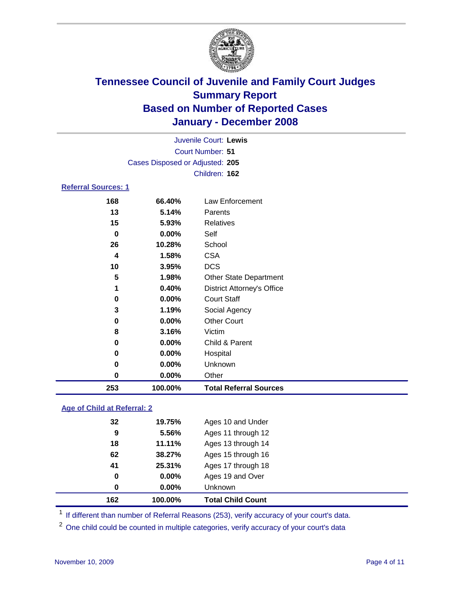

| Juvenile Court: Lewis           |
|---------------------------------|
| Court Number: 51                |
| Cases Disposed or Adjusted: 205 |
| Children: 162                   |
|                                 |
|                                 |

| 253 | 100.00%  | <b>Total Referral Sources</b>     |
|-----|----------|-----------------------------------|
| 0   | 0.00%    | Other                             |
| 0   | 0.00%    | Unknown                           |
| 0   | 0.00%    | Hospital                          |
| 0   | 0.00%    | Child & Parent                    |
| 8   | 3.16%    | Victim                            |
| 0   | 0.00%    | <b>Other Court</b>                |
| 3   | 1.19%    | Social Agency                     |
| 0   | $0.00\%$ | <b>Court Staff</b>                |
| 1   | 0.40%    | <b>District Attorney's Office</b> |
| 5   | 1.98%    | <b>Other State Department</b>     |
| 10  | 3.95%    | <b>DCS</b>                        |
| 4   | 1.58%    | <b>CSA</b>                        |
| 26  | 10.28%   | School                            |
| 0   | 0.00%    | Self                              |
| 15  | 5.93%    | Relatives                         |
| 13  | 5.14%    | Parents                           |
| 168 | 66.40%   | Law Enforcement                   |

### **Age of Child at Referral: 2**

| 0  | 0.00%    | <b>Unknown</b>     |  |
|----|----------|--------------------|--|
|    |          |                    |  |
| 0  | $0.00\%$ | Ages 19 and Over   |  |
| 41 | 25.31%   | Ages 17 through 18 |  |
| 62 | 38.27%   | Ages 15 through 16 |  |
| 18 | 11.11%   | Ages 13 through 14 |  |
| 9  | 5.56%    | Ages 11 through 12 |  |
| 32 | 19.75%   | Ages 10 and Under  |  |
|    |          |                    |  |

<sup>1</sup> If different than number of Referral Reasons (253), verify accuracy of your court's data.

One child could be counted in multiple categories, verify accuracy of your court's data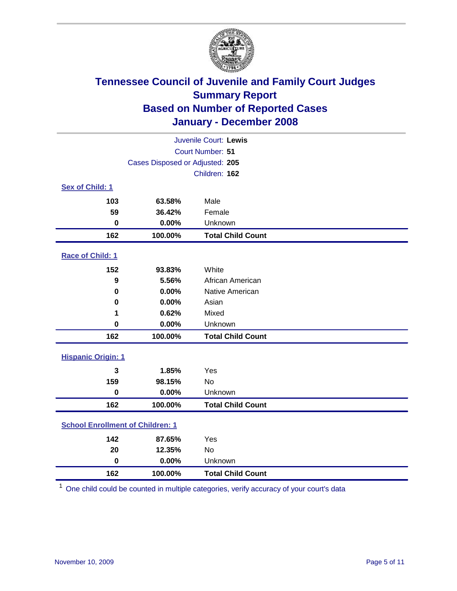

| Juvenile Court: Lewis                   |                                 |                          |  |  |
|-----------------------------------------|---------------------------------|--------------------------|--|--|
|                                         | <b>Court Number: 51</b>         |                          |  |  |
|                                         | Cases Disposed or Adjusted: 205 |                          |  |  |
|                                         |                                 | Children: 162            |  |  |
| Sex of Child: 1                         |                                 |                          |  |  |
| 103                                     | 63.58%                          | Male                     |  |  |
| 59                                      | 36.42%                          | Female                   |  |  |
| $\bf{0}$                                | 0.00%                           | Unknown                  |  |  |
| 162                                     | 100.00%                         | <b>Total Child Count</b> |  |  |
| <b>Race of Child: 1</b>                 |                                 |                          |  |  |
| 152                                     | 93.83%                          | White                    |  |  |
| 9                                       | 5.56%                           | African American         |  |  |
| 0                                       | 0.00%                           | Native American          |  |  |
| 0                                       | 0.00%                           | Asian                    |  |  |
| 1                                       | 0.62%                           | Mixed                    |  |  |
| $\bf{0}$                                | 0.00%                           | Unknown                  |  |  |
| 162                                     | 100.00%                         | <b>Total Child Count</b> |  |  |
| <b>Hispanic Origin: 1</b>               |                                 |                          |  |  |
| 3                                       | 1.85%                           | Yes                      |  |  |
| 159                                     | 98.15%                          | <b>No</b>                |  |  |
| $\mathbf 0$                             | 0.00%                           | Unknown                  |  |  |
| 162                                     | 100.00%                         | <b>Total Child Count</b> |  |  |
| <b>School Enrollment of Children: 1</b> |                                 |                          |  |  |
| 142                                     | 87.65%                          | Yes                      |  |  |
| 20                                      | 12.35%                          | No                       |  |  |
| $\mathbf 0$                             | 0.00%                           | Unknown                  |  |  |
| 162                                     | 100.00%                         | <b>Total Child Count</b> |  |  |

One child could be counted in multiple categories, verify accuracy of your court's data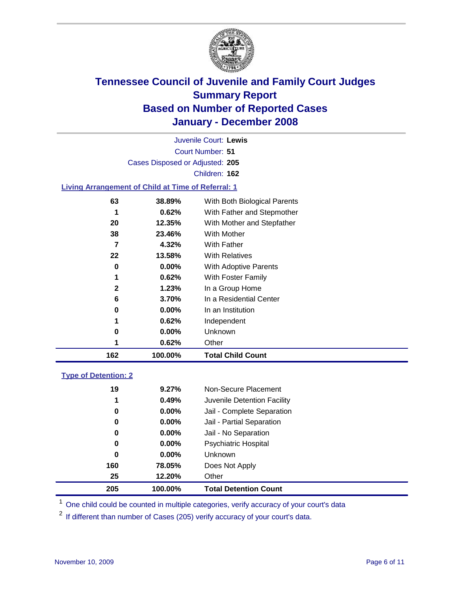

Court Number: **51** Juvenile Court: **Lewis** Cases Disposed or Adjusted: **205** Children: **162**

#### **Living Arrangement of Child at Time of Referral: 1**

| 162 | 100.00%       | <b>Total Child Count</b>     |
|-----|---------------|------------------------------|
|     | 0.62%         | Other                        |
|     | 0<br>$0.00\%$ | Unknown                      |
|     | 1<br>0.62%    | Independent                  |
|     | 0.00%<br>0    | In an Institution            |
|     | 6<br>3.70%    | In a Residential Center      |
|     | 2<br>1.23%    | In a Group Home              |
|     | 1<br>0.62%    | With Foster Family           |
|     | 0.00%<br>0    | With Adoptive Parents        |
| 22  | 13.58%        | <b>With Relatives</b>        |
|     | 4.32%<br>7    | With Father                  |
| 38  | 23.46%        | With Mother                  |
| 20  | 12.35%        | With Mother and Stepfather   |
|     | 0.62%<br>1    | With Father and Stepmother   |
| 63  | 38.89%        | With Both Biological Parents |
|     |               |                              |

#### **Type of Detention: 2**

| 205 | 100.00%  | <b>Total Detention Count</b> |
|-----|----------|------------------------------|
| 25  | 12.20%   | Other                        |
| 160 | 78.05%   | Does Not Apply               |
| 0   | $0.00\%$ | <b>Unknown</b>               |
| 0   | 0.00%    | <b>Psychiatric Hospital</b>  |
| 0   | $0.00\%$ | Jail - No Separation         |
| 0   | $0.00\%$ | Jail - Partial Separation    |
| 0   | $0.00\%$ | Jail - Complete Separation   |
| 1   | 0.49%    | Juvenile Detention Facility  |
| 19  | 9.27%    | Non-Secure Placement         |
|     |          |                              |

<sup>1</sup> One child could be counted in multiple categories, verify accuracy of your court's data

<sup>2</sup> If different than number of Cases (205) verify accuracy of your court's data.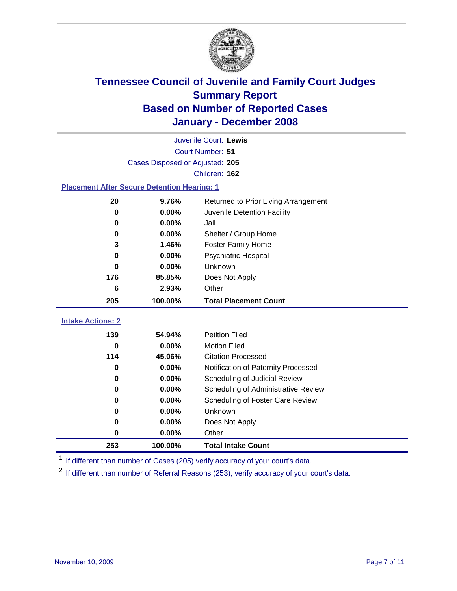

|                                                    | Juvenile Court: Lewis           |                                      |  |  |  |  |
|----------------------------------------------------|---------------------------------|--------------------------------------|--|--|--|--|
|                                                    | Court Number: 51                |                                      |  |  |  |  |
|                                                    | Cases Disposed or Adjusted: 205 |                                      |  |  |  |  |
| Children: 162                                      |                                 |                                      |  |  |  |  |
| <b>Placement After Secure Detention Hearing: 1</b> |                                 |                                      |  |  |  |  |
| 20                                                 | 9.76%                           | Returned to Prior Living Arrangement |  |  |  |  |
| $\bf{0}$                                           | 0.00%                           | Juvenile Detention Facility          |  |  |  |  |
| 0                                                  | 0.00%                           | Jail                                 |  |  |  |  |
| 0                                                  | 0.00%                           | Shelter / Group Home                 |  |  |  |  |
| 3                                                  | 1.46%                           | <b>Foster Family Home</b>            |  |  |  |  |
| $\bf{0}$                                           | 0.00%                           | Psychiatric Hospital                 |  |  |  |  |
| 0                                                  | 0.00%                           | Unknown                              |  |  |  |  |
| 176                                                | 85.85%                          | Does Not Apply                       |  |  |  |  |
| 6                                                  | 2.93%                           | Other                                |  |  |  |  |
|                                                    |                                 |                                      |  |  |  |  |
| 205                                                | 100.00%                         | <b>Total Placement Count</b>         |  |  |  |  |
| <b>Intake Actions: 2</b>                           |                                 |                                      |  |  |  |  |
| 139                                                | 54.94%                          | <b>Petition Filed</b>                |  |  |  |  |
| $\bf{0}$                                           | 0.00%                           | <b>Motion Filed</b>                  |  |  |  |  |
| 114                                                | 45.06%                          | <b>Citation Processed</b>            |  |  |  |  |
| 0                                                  | 0.00%                           | Notification of Paternity Processed  |  |  |  |  |
| 0                                                  | 0.00%                           | Scheduling of Judicial Review        |  |  |  |  |
| 0                                                  | 0.00%                           | Scheduling of Administrative Review  |  |  |  |  |
| 0                                                  | 0.00%                           | Scheduling of Foster Care Review     |  |  |  |  |
| 0                                                  | 0.00%                           | Unknown                              |  |  |  |  |
| 0                                                  | 0.00%                           | Does Not Apply                       |  |  |  |  |
| 0                                                  | 0.00%                           | Other                                |  |  |  |  |

<sup>1</sup> If different than number of Cases (205) verify accuracy of your court's data.

<sup>2</sup> If different than number of Referral Reasons (253), verify accuracy of your court's data.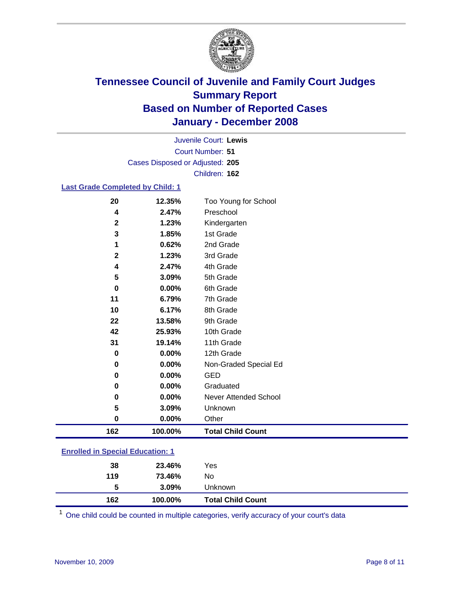

Court Number: **51** Juvenile Court: **Lewis** Cases Disposed or Adjusted: **205** Children: **162**

#### **Last Grade Completed by Child: 1**

| 162         | 100.00% | <b>Total Child Count</b> |
|-------------|---------|--------------------------|
| $\pmb{0}$   | 0.00%   | Other                    |
| 5           | 3.09%   | Unknown                  |
| 0           | 0.00%   | Never Attended School    |
| 0           | 0.00%   | Graduated                |
| 0           | 0.00%   | <b>GED</b>               |
| 0           | 0.00%   | Non-Graded Special Ed    |
| $\bf{0}$    | 0.00%   | 12th Grade               |
| 31          | 19.14%  | 11th Grade               |
| 42          | 25.93%  | 10th Grade               |
| 22          | 13.58%  | 9th Grade                |
| 10          | 6.17%   | 8th Grade                |
| 11          | 6.79%   | 7th Grade                |
| 0           | 0.00%   | 6th Grade                |
| 5           | 3.09%   | 5th Grade                |
| 4           | 2.47%   | 4th Grade                |
| $\mathbf 2$ | 1.23%   | 3rd Grade                |
| 1           | 0.62%   | 2nd Grade                |
| 3           | 1.85%   | 1st Grade                |
| $\mathbf 2$ | 1.23%   | Kindergarten             |
| 4           | 2.47%   | Preschool                |
| 20          | 12.35%  | Too Young for School     |

### **Enrolled in Special Education: 1**

|   |                  | <b>Total Child Count</b>                |
|---|------------------|-----------------------------------------|
| 5 |                  | <b>Unknown</b>                          |
|   |                  | No                                      |
|   |                  | Yes                                     |
|   | 38<br>119<br>162 | 23.46%<br>73.46%<br>$3.09\%$<br>100.00% |

<sup>1</sup> One child could be counted in multiple categories, verify accuracy of your court's data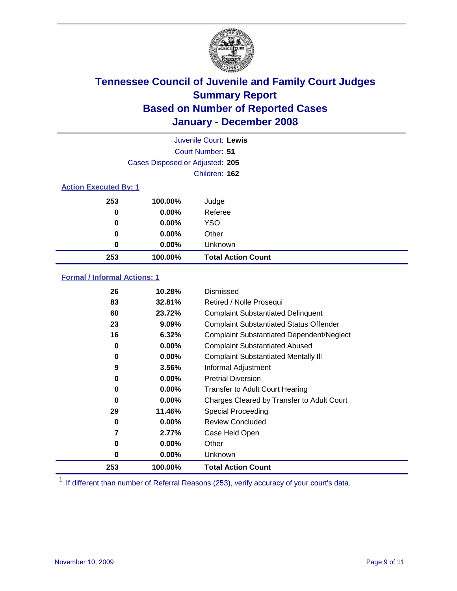

|                              |                                 | Juvenile Court: Lewis     |  |  |
|------------------------------|---------------------------------|---------------------------|--|--|
| Court Number: 51             |                                 |                           |  |  |
|                              | Cases Disposed or Adjusted: 205 |                           |  |  |
|                              |                                 | Children: 162             |  |  |
| <b>Action Executed By: 1</b> |                                 |                           |  |  |
| 253                          | 100.00%                         | Judge                     |  |  |
| 0                            | $0.00\%$                        | Referee                   |  |  |
| 0                            | $0.00\%$                        | <b>YSO</b>                |  |  |
| 0                            | $0.00\%$                        | Other                     |  |  |
| $\bf{0}$                     | $0.00\%$                        | Unknown                   |  |  |
| 253                          | 100.00%                         | <b>Total Action Count</b> |  |  |

### **Formal / Informal Actions: 1**

| 26  | 10.28%   | <b>Dismissed</b>                                 |
|-----|----------|--------------------------------------------------|
| 83  | 32.81%   | Retired / Nolle Prosequi                         |
| 60  | 23.72%   | <b>Complaint Substantiated Delinquent</b>        |
| 23  | 9.09%    | <b>Complaint Substantiated Status Offender</b>   |
| 16  | 6.32%    | <b>Complaint Substantiated Dependent/Neglect</b> |
| 0   | 0.00%    | <b>Complaint Substantiated Abused</b>            |
| 0   | 0.00%    | <b>Complaint Substantiated Mentally III</b>      |
| 9   | 3.56%    | Informal Adjustment                              |
| 0   | $0.00\%$ | <b>Pretrial Diversion</b>                        |
| 0   | 0.00%    | <b>Transfer to Adult Court Hearing</b>           |
| 0   | $0.00\%$ | Charges Cleared by Transfer to Adult Court       |
| 29  | 11.46%   | Special Proceeding                               |
| 0   | 0.00%    | <b>Review Concluded</b>                          |
| 7   | 2.77%    | Case Held Open                                   |
| 0   | $0.00\%$ | Other                                            |
| 0   | 0.00%    | <b>Unknown</b>                                   |
| 253 | 100.00%  | <b>Total Action Count</b>                        |

<sup>1</sup> If different than number of Referral Reasons (253), verify accuracy of your court's data.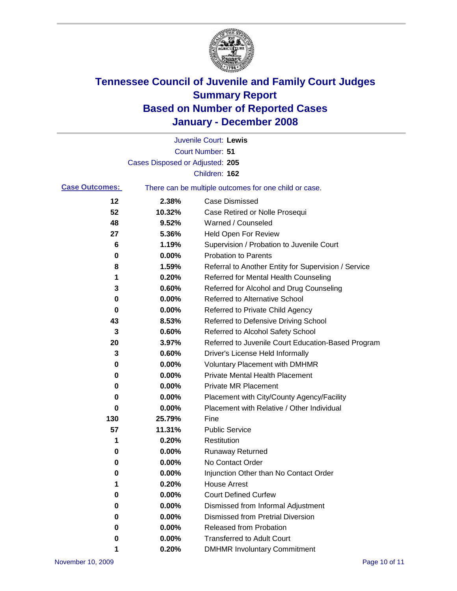

|                       |                                                       | Juvenile Court: Lewis                                |
|-----------------------|-------------------------------------------------------|------------------------------------------------------|
|                       |                                                       | <b>Court Number: 51</b>                              |
|                       | Cases Disposed or Adjusted: 205                       |                                                      |
|                       |                                                       | Children: 162                                        |
| <b>Case Outcomes:</b> | There can be multiple outcomes for one child or case. |                                                      |
| 12                    | 2.38%                                                 | <b>Case Dismissed</b>                                |
| 52                    | 10.32%                                                | Case Retired or Nolle Prosequi                       |
| 48                    | 9.52%                                                 | Warned / Counseled                                   |
| 27                    | 5.36%                                                 | <b>Held Open For Review</b>                          |
| 6                     | 1.19%                                                 | Supervision / Probation to Juvenile Court            |
| 0                     | 0.00%                                                 | <b>Probation to Parents</b>                          |
| 8                     | 1.59%                                                 | Referral to Another Entity for Supervision / Service |
| 1                     | 0.20%                                                 | Referred for Mental Health Counseling                |
| 3                     | 0.60%                                                 | Referred for Alcohol and Drug Counseling             |
| 0                     | 0.00%                                                 | <b>Referred to Alternative School</b>                |
| 0                     | 0.00%                                                 | Referred to Private Child Agency                     |
| 43                    | 8.53%                                                 | Referred to Defensive Driving School                 |
| 3                     | 0.60%                                                 | Referred to Alcohol Safety School                    |
| 20                    | 3.97%                                                 | Referred to Juvenile Court Education-Based Program   |
| 3                     | 0.60%                                                 | Driver's License Held Informally                     |
| 0                     | 0.00%                                                 | <b>Voluntary Placement with DMHMR</b>                |
| 0                     | 0.00%                                                 | <b>Private Mental Health Placement</b>               |
| 0                     | 0.00%                                                 | <b>Private MR Placement</b>                          |
| 0                     | 0.00%                                                 | Placement with City/County Agency/Facility           |
| 0                     | 0.00%                                                 | Placement with Relative / Other Individual           |
| 130                   | 25.79%                                                | Fine                                                 |
| 57                    | 11.31%                                                | <b>Public Service</b>                                |
| 1                     | 0.20%                                                 | Restitution                                          |
| 0                     | 0.00%                                                 | <b>Runaway Returned</b>                              |
| 0                     | 0.00%                                                 | No Contact Order                                     |
| 0                     | $0.00\%$                                              | Injunction Other than No Contact Order               |
| 1                     | 0.20%                                                 | <b>House Arrest</b>                                  |
| 0                     | 0.00%                                                 | <b>Court Defined Curfew</b>                          |
| 0                     | 0.00%                                                 | Dismissed from Informal Adjustment                   |
| 0                     | 0.00%                                                 | <b>Dismissed from Pretrial Diversion</b>             |
| 0                     | 0.00%                                                 | <b>Released from Probation</b>                       |
| 0                     | 0.00%                                                 | <b>Transferred to Adult Court</b>                    |
| 1                     | 0.20%                                                 | <b>DMHMR Involuntary Commitment</b>                  |